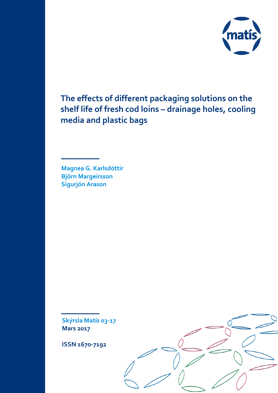

**The effects of different packaging solutions on the shelf life of fresh cod loins – drainage holes, cooling media and plastic bags**

**Magnea G. Karlsdóttir Björn Margeirsson Sigurjón Arason**

**Skýrsla Matís 03-17 Mars 2017**

**ISSN 1670-7192**

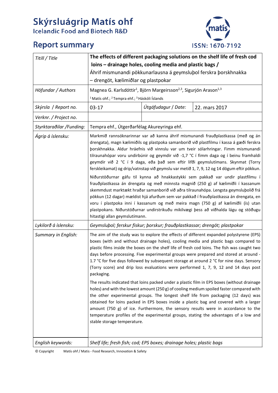# **Skýrsluágrip Matís ohf**<br>Icelandic Food and Biotech R&D

## **Report summary**



| Titill / Title            | The effects of different packaging solutions on the shelf life of fresh cod<br>loins – drainage holes, cooling media and plastic bags /<br>Áhrif mismunandi pökkunarlausna á geymslubol ferskra þorskhnakka<br>- drengöt, kælimiðlar og plastpokar                                                                                                                                                                                                                                                                                                                                                                                                                                                                                                                                                                                                                                                                                                                                                                                                                                                                      |                                      |  |  |  |
|---------------------------|-------------------------------------------------------------------------------------------------------------------------------------------------------------------------------------------------------------------------------------------------------------------------------------------------------------------------------------------------------------------------------------------------------------------------------------------------------------------------------------------------------------------------------------------------------------------------------------------------------------------------------------------------------------------------------------------------------------------------------------------------------------------------------------------------------------------------------------------------------------------------------------------------------------------------------------------------------------------------------------------------------------------------------------------------------------------------------------------------------------------------|--------------------------------------|--|--|--|
| Höfundar / Authors        | Magnea G. Karlsdóttir <sup>1</sup> , Björn Margeirsson <sup>2,3</sup> , Sigurjón Arason <sup>1,3</sup>                                                                                                                                                                                                                                                                                                                                                                                                                                                                                                                                                                                                                                                                                                                                                                                                                                                                                                                                                                                                                  |                                      |  |  |  |
|                           | <sup>1</sup> Matís ohf.; <sup>2</sup> Tempra ehf.; <sup>3</sup> Háskóli Íslands                                                                                                                                                                                                                                                                                                                                                                                                                                                                                                                                                                                                                                                                                                                                                                                                                                                                                                                                                                                                                                         |                                      |  |  |  |
| Skýrsla / Report no.      | $03-17$                                                                                                                                                                                                                                                                                                                                                                                                                                                                                                                                                                                                                                                                                                                                                                                                                                                                                                                                                                                                                                                                                                                 | Útgáfudagur / Date:<br>22. mars 2017 |  |  |  |
| Verknr. / Project no.     |                                                                                                                                                                                                                                                                                                                                                                                                                                                                                                                                                                                                                                                                                                                                                                                                                                                                                                                                                                                                                                                                                                                         |                                      |  |  |  |
| Styrktaraðilar / Funding: | Tempra ehf., Útgerðarfélag Akureyringa ehf.                                                                                                                                                                                                                                                                                                                                                                                                                                                                                                                                                                                                                                                                                                                                                                                                                                                                                                                                                                                                                                                                             |                                      |  |  |  |
| Ágrip á íslensku:         | Markmið rannsóknarinnar var að kanna áhrif mismunandi frauðplastkassa (með og án<br>drengata), magn kælimiðils og plastpoka samanborið við plastfilmu í kassa á gæði ferskra<br>þorskhnakka. Aldur hráefnis við vinnslu var um tveir sólarhringar. Fimm mismunandi<br>tilraunahópar voru undirbúnir og geymdir við -1,7 °C í fimm daga og í beinu framhaldi<br>geymdir við 2 °C í 9 daga, eða það sem eftir lifði geymslutímans. Skynmat (Torry<br>ferskleikamat) og drip/vatnstap við geymslu var metið 1, 7, 9, 12 og 14 dögum eftir pökkun.<br>Niðurstöðurnar gáfu til kynna að hnakkastykki sem pakkað var undir plastfilmu í<br>frauðplastkassa án drengata og með minnsta magnið (250 g) af kælimiðli í kassanum<br>skemmdust marktækt hraðar samanborið við aðra tilraunahópa. Lengsta geymsluþolið frá<br>pökkun (12 dagar) mældist hjá afurðum sem var pakkað í frauðplastkassa án drengata, en<br>voru í plastpoka inni í kassanum og með meira magn (750 g) af kælimiðli (ís) utan<br>plastpokans. Niðurstöðurnar undirstrikuðu mikilvægi þess að viðhalda lágu og stöðugu<br>hitastigi allan geymslutímann. |                                      |  |  |  |
| Lykilorð á íslensku:      | Geymsluþol; ferskur fiskur; þorskur; frauðplastkassar; drengöt; plastpokar                                                                                                                                                                                                                                                                                                                                                                                                                                                                                                                                                                                                                                                                                                                                                                                                                                                                                                                                                                                                                                              |                                      |  |  |  |
| Summary in English:       | The aim of the study was to explore the effects of different expanded polystyrene (EPS)<br>boxes (with and without drainage holes), cooling media and plastic bags compared to<br>plastic films inside the boxes on the shelf life of fresh cod loins. The fish was caught two<br>days before processing. Five experimental groups were prepared and stored at around -<br>1.7 °C for five days followed by subsequent storage at around 2 °C for nine days. Sensory<br>(Torry score) and drip loss evaluations were performed 1, 7, 9, 12 and 14 days post<br>packaging.                                                                                                                                                                                                                                                                                                                                                                                                                                                                                                                                               |                                      |  |  |  |
|                           | The results indicated that loins packed under a plastic film in EPS boxes (without drainage<br>holes) and with the lowest amount (250 g) of cooling medium spoiled faster compared with<br>the other experimental groups. The longest shelf life from packaging (12 days) was<br>obtained for loins packed in EPS boxes inside a plastic bag and covered with a larger<br>amount (750 g) of ice. Furthermore, the sensory results were in accordance to the<br>temperature profiles of the experimental groups, stating the advantages of a low and<br>stable storage temperature.                                                                                                                                                                                                                                                                                                                                                                                                                                                                                                                                      |                                      |  |  |  |
| English keywords:         | Shelf life; fresh fish; cod; EPS boxes; drainage holes; plastic bags                                                                                                                                                                                                                                                                                                                                                                                                                                                                                                                                                                                                                                                                                                                                                                                                                                                                                                                                                                                                                                                    |                                      |  |  |  |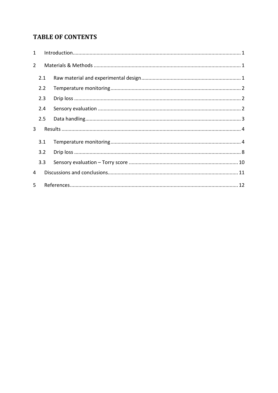## **TABLE OF CONTENTS**

| $\mathbf{1}$   |     |  |
|----------------|-----|--|
| $\overline{2}$ |     |  |
|                | 2.1 |  |
|                | 2.2 |  |
|                | 2.3 |  |
|                | 2.4 |  |
|                | 2.5 |  |
| 3              |     |  |
|                | 3.1 |  |
|                | 3.2 |  |
|                | 3.3 |  |
| 4              |     |  |
| 5              |     |  |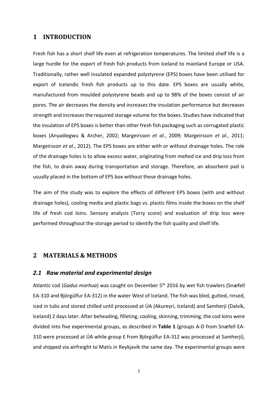#### <span id="page-3-0"></span>**1 INTRODUCTION**

Fresh fish has a short shelf life even at refrigeration temperatures. The limited shelf life is a large hurdle for the export of fresh fish products from Iceland to mainland Europe or USA. Traditionally, rather well insulated expanded polystyrene (EPS) boxes have been utilised for export of Icelandic fresh fish products up to this date. EPS boxes are usually white, manufactured from moulded polystyrene beads and up to 98% of the boxes consist of air pores. The air decreases the density and increases the insulation performance but decreases strength and increases the required storage volume for the boxes. Studies have indicated that the insulation of EPS boxes is better than other fresh fish packaging such as corrugated plastic boxes (Anyadiegwu & Archer, 2002; Margeirsson *et al.*, 2009; Margeirsson *et al.*, 2011; Margeirsson *et al.*, 2012). The EPS boxes are either with or without drainage holes. The role of the drainage holes is to allow excess water, originating from melted ice and drip loss from the fish, to drain away during transportation and storage. Therefore, an absorbent pad is usually placed in the bottom of EPS box without these drainage holes.

The aim of the study was to explore the effects of different EPS boxes (with and without drainage holes), cooling media and plastic bags vs. plastic films inside the boxes on the shelf life of fresh cod loins. Sensory analysis (Torry score) and evaluation of drip loss were performed throughout the storage period to identify the fish quality and shelf life.

#### <span id="page-3-1"></span>**2 MATERIALS & METHODS**

#### <span id="page-3-2"></span>*2.1 Raw material and experimental design*

Atlantic cod (*Gadus morhua*) was caught on December 5th 2016 by wet fish trawlers (Snæfell EA-310 and Björgúlfur EA-312) in the water West of Iceland. The fish was bled, gutted, rinsed, iced in tubs and stored chilled until processed at ÚA (Akureyri, Iceland) and Samherji (Dalvík, Iceland) 2 days later. After beheading, filleting, cooling, skinning, trimming, the cod loins were divided into five experimental groups, as described in **Table 1** (groups A-D from Snæfell EA-310 were processed at ÚA while group E from Björgúlfur EA-312 was processed at Samherji), and shipped via airfreight to Matís in Reykjavík the same day. The experimental groups were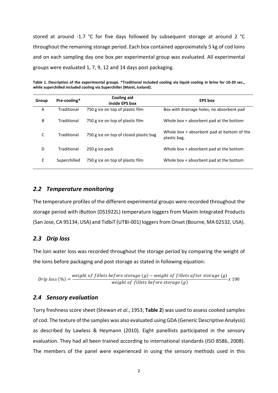stored at around -1.7 °C for five days followed by subsequent storage at around 2 °C throughout the remaining storage period. Each box contained approximately 5 kg of cod loins and on each sampling day one box per experimental group was evaluated. All experimental groups were evaluated 1, 7, 9, 12 and 14 days post packaging.

| Group | Pre-cooling* | Cooling aid<br>inside EPS box          | <b>EPS</b> box                                               |
|-------|--------------|----------------------------------------|--------------------------------------------------------------|
| A     | Traditional  | 750 g ice on top of plastic film       | Box with drainage holes, no absorbent pad                    |
| B     | Traditional  | 750 g ice on top of plastic film       | Whole box + absorbent pad at the bottom                      |
| C     | Traditional  | 750 g ice on top of closed plastic bag | Whole box $+$ absorbent pad at bottom of the<br>plastic bag. |
| D     | Traditional  | 250 g ice pack                         | Whole box + absorbent pad at the bottom                      |
| E     | Superchilled | 750 g ice on top of plastic film       | Whole box + absorbent pad at the bottom                      |

**Table 1. Description of the experimental groups. \*Traditional included cooling via liquid cooling in brine for 10-20 sec., while superchilled included cooling via Superchiller (Marel, Iceland).**

#### <span id="page-4-0"></span>*2.2 Temperature monitoring*

The temperature profiles of the different experimental groups were recorded throughout the storage period with iButton (DS1922L) temperature loggers from Maxim Integrated Products (San Jose, CA 95134, USA) and TidbiT (UTBI-001) loggers from Onset (Bourne, MA 02532, USA).

#### <span id="page-4-1"></span>*2.3 Drip loss*

The loin water loss was recorded throughout the storage period by comparing the weight of the loins before packaging and post storage as stated in following equation:

Drip loss (%) =  $\frac{weight\ of\ filters\ before\ storage\ (g) - weight\ of\ filters\ before\ storage\ (g)}{weight\ of\ filters\ before\ storage\ (g)}x$  100

#### <span id="page-4-2"></span>*2.4 Sensory evaluation*

Torry freshness score sheet (Shewan *et al*., 1953; **Table 2**) was used to assess cooked samples of cod. The texture of the samples was also evaluated using GDA (Generic Descriptive Analysis) as described by Lawless & Heymann (2010). Eight panellists participated in the sensory evaluation. They had all been trained according to international standards (ISO 8586, 2008). The members of the panel were experienced in using the sensory methods used in this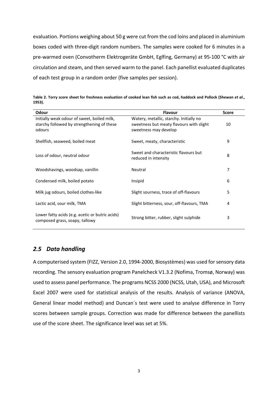evaluation. Portions weighing about 50 g were cut from the cod loins and placed in aluminium boxes coded with three-digit random numbers. The samples were cooked for 6 minutes in a pre-warmed oven (Convotherm Elektrogeräte GmbH, Eglfing, Germany) at 95-100 °C with air circulation and steam, and then served warm to the panel. Each panellist evaluated duplicates of each test group in a random order (five samples per session).

| Odour                                                                                               | <b>Flavour</b>                                                                                               | <b>Score</b> |
|-----------------------------------------------------------------------------------------------------|--------------------------------------------------------------------------------------------------------------|--------------|
| Initially weak odour of sweet, boiled milk,<br>starchy followed by strengthening of these<br>odours | Watery, metallic, starchy. Initially no<br>sweetness but meaty flavours with slight<br>sweetness may develop | 10           |
| Shellfish, seaweed, boiled meat                                                                     | Sweet, meaty, characteristic                                                                                 | 9            |
| Loss of odour, neutral odour                                                                        | Sweet and characteristic flavours but<br>reduced in intensity                                                | 8            |
| Woodshavings, woodsap, vanillin                                                                     | Neutral                                                                                                      | 7            |
| Condensed milk, boiled potato                                                                       | Insipid                                                                                                      | 6            |
| Milk jug odours, boiled clothes-like                                                                | Slight sourness, trace of off-flavours                                                                       | 5            |
| Lactic acid, sour milk, TMA                                                                         | Slight bitterness, sour, off-flavours, TMA                                                                   | 4            |
| Lower fatty acids (e.g. acetic or butric acids)<br>composed grass, soapy, tallowy                   | Strong bitter, rubber, slight sulphide                                                                       | 3            |

**Table 2. Torry score sheet for freshness evaluation of cooked lean fish such as cod, haddock and Pollock (Shewan** *et al.***, 1953).**

#### <span id="page-5-0"></span>*2.5 Data handling*

A computerised system (FIZZ, Version 2.0, 1994-2000, Biosystèmes) was used for sensory data recording. The sensory evaluation program Panelcheck V1.3.2 (Nofima, Tromsø, Norway) was used to assess panel performance. The programs NCSS 2000 (NCSS, Utah, USA), and Microsoft Excel 2007 were used for statistical analysis of the results. Analysis of variance (ANOVA, General linear model method) and Duncan´s test were used to analyse difference in Torry scores between sample groups. Correction was made for difference between the panellists use of the score sheet. The significance level was set at 5%.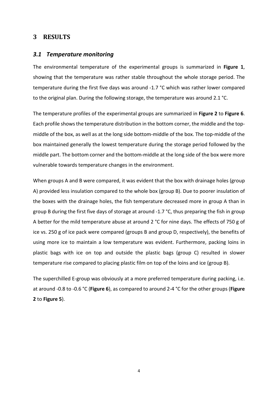#### <span id="page-6-0"></span>**3 RESULTS**

#### <span id="page-6-1"></span>*3.1 Temperature monitoring*

The environmental temperature of the experimental groups is summarized in **Figure 1**, showing that the temperature was rather stable throughout the whole storage period. The temperature during the first five days was around -1.7 °C which was rather lower compared to the original plan. During the following storage, the temperature was around 2.1 °C.

The temperature profiles of the experimental groups are summarized in **Figure 2** to **Figure 6**. Each profile shows the temperature distribution in the bottom corner, the middle and the topmiddle of the box, as well as at the long side bottom-middle of the box. The top-middle of the box maintained generally the lowest temperature during the storage period followed by the middle part. The bottom corner and the bottom-middle at the long side of the box were more vulnerable towards temperature changes in the environment.

When groups A and B were compared, it was evident that the box with drainage holes (group A) provided less insulation compared to the whole box (group B). Due to poorer insulation of the boxes with the drainage holes, the fish temperature decreased more in group A than in group B during the first five days of storage at around -1.7 °C, thus preparing the fish in group A better for the mild temperature abuse at around 2 °C for nine days. The effects of 750 g of ice vs. 250 g of ice pack were compared (groups B and group D, respectively), the benefits of using more ice to maintain a low temperature was evident. Furthermore, packing loins in plastic bags with ice on top and outside the plastic bags (group C) resulted in slower temperature rise compared to placing plastic film on top of the loins and ice (group B).

The superchilled E-group was obviously at a more preferred temperature during packing, i.e. at around -0.8 to -0.6 °C (**[Figure 6](#page-9-0)**), as compared to around 2-4 °C for the other groups (**[Figure](#page-7-0)  [2](#page-7-0)** to **[Figure 5](#page-9-1)**).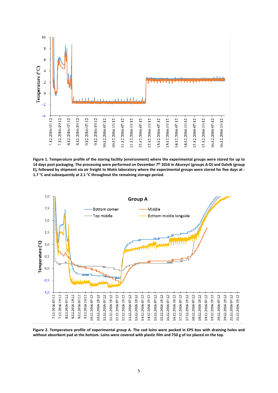

**Figure 1. Temperature profile of the storing facility (environment) where the experimental groups were stored for up to 14 days post packaging. The processing were performed on December 7th 2016 in Akureyri (groups A-D) and Dalvík (group E), followed by shipment via air freight to Matís laboratory where the experimental groups were stored for five days at - 1.7 °C and subsequently at 2.1 °C throughout the remaining storage period.**



<span id="page-7-0"></span>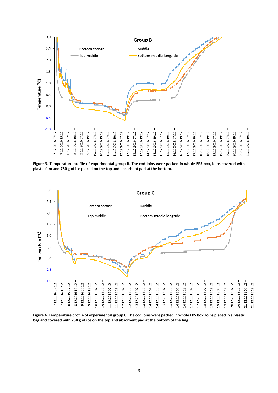

**Figure 3. Temperature profile of experimental group B. The cod loins were packed in whole EPS box, loins covered with plastic film and 750 g of ice placed on the top and absorbent pad at the bottom.**



**Figure 4. Temperature profile of experimental group C. The cod loins were packed in whole EPS box, loins placed in a plastic bag and covered with 750 g of ice on the top and absorbent pad at the bottom of the bag.**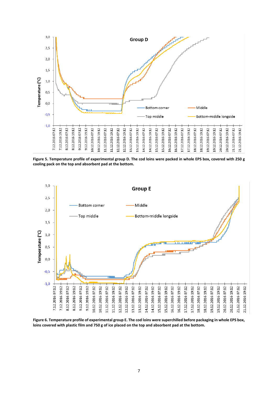

<span id="page-9-1"></span>**Figure 5. Temperature profile of experimental group D. The cod loins were packed in whole EPS box, covered with 250 g cooling pack on the top and absorbent pad at the bottom.**



<span id="page-9-0"></span>**Figure 6. Temperature profile of experimental group E. The cod loins were superchilled before packaging in whole EPS box, loins covered with plastic film and 750 g of ice placed on the top and absorbent pad at the bottom.**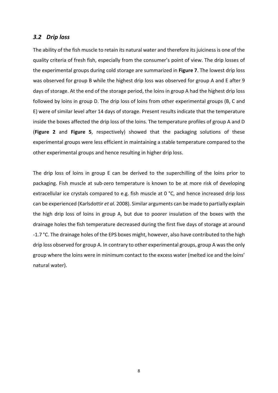#### <span id="page-10-0"></span>*3.2 Drip loss*

The ability of the fish muscle to retain its natural water and therefore its juiciness is one of the quality criteria of fresh fish, especially from the consumer's point of view. The drip losses of the experimental groups during cold storage are summarized in **Figure 7**. The lowest drip loss was observed for group B while the highest drip loss was observed for group A and E after 9 days of storage. At the end of the storage period, the loins in group A had the highest drip loss followed by loins in group D. The drip loss of loins from other experimental groups (B, C and E) were of similar level after 14 days of storage. Present results indicate that the temperature inside the boxes affected the drip loss of the loins. The temperature profiles of group A and D (**Figure 2** and **Figure 5**, respectively) showed that the packaging solutions of these experimental groups were less efficient in maintaining a stable temperature compared to the other experimental groups and hence resulting in higher drip loss.

The drip loss of loins in group E can be derived to the superchilling of the loins prior to packaging. Fish muscle at sub-zero temperature is known to be at more risk of developing extracellular ice crystals compared to e.g. fish muscle at 0 °C, and hence increased drip loss can be experienced (Karlsdottir *et al.* 2008). Similar arguments can be made to partially explain the high drip loss of loins in group A, but due to poorer insulation of the boxes with the drainage holes the fish temperature decreased during the first five days of storage at around -1.7 °C. The drainage holes of the EPS boxes might, however, also have contributed to the high drip loss observed for group A. In contrary to other experimental groups, group A was the only group where the loins were in minimum contact to the excess water (melted ice and the loins' natural water).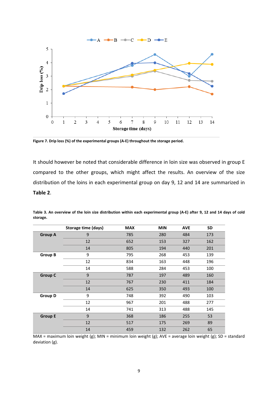

**Figure 7. Drip loss (%) of the experimental groups (A-E) throughout the storage period.**

It should however be noted that considerable difference in loin size was observed in group E compared to the other groups, which might affect the results. An overview of the size distribution of the loins in each experimental group on day 9, 12 and 14 are summarized in **Table 2**.

|                | Storage time (days) | <b>MAX</b> | <b>MIN</b> | <b>AVE</b> | <b>SD</b> |
|----------------|---------------------|------------|------------|------------|-----------|
| <b>Group A</b> | 9                   | 785        | 280        | 484        | 173       |
|                | 12                  | 652        | 153        | 327        | 162       |
|                | 14                  | 805        | 194        | 440        | 201       |
| <b>Group B</b> | 9                   | 795        | 268        | 453        | 139       |
|                | 12                  | 834        | 163        | 448        | 196       |
|                | 14                  | 588        | 284        | 453        | 100       |
| <b>Group C</b> | 9                   | 787        | 197        | 489        | 160       |
|                | 12                  | 767        | 230        | 411        | 184       |
|                | 14                  | 625        | 350        | 493        | 100       |
| <b>Group D</b> | 9                   | 748        | 392        | 490        | 103       |
|                | 12                  | 967        | 201        | 488        | 277       |
|                | 14                  | 741        | 313        | 488        | 145       |
| <b>Group E</b> | 9                   | 368        | 186        | 255        | 53        |
|                | 12                  | 517        | 175        | 269        | 89        |
|                | 14                  | 459        | 132        | 262        | 65        |

**Table 3. An overview of the loin size distribution within each experimental group (A-E) after 9, 12 and 14 days of cold storage.** 

MAX = maximum loin weight (g); MIN = minimum loin weight (g); AVE = average loin weight (g); SD = standard deviation (g).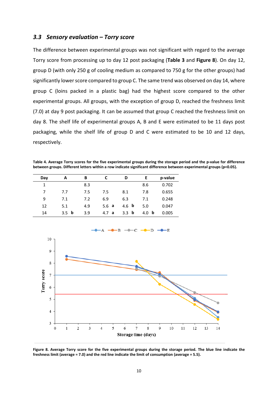#### <span id="page-12-0"></span>*3.3 Sensory evaluation – Torry score*

The difference between experimental groups was not significant with regard to the average Torry score from processing up to day 12 post packaging (**Table 3** and **Figure 8**). On day 12, group D (with only 250 g of cooling medium as compared to 750 g for the other groups) had significantly lower score compared to group C. The same trend was observed on day 14, where group C (loins packed in a plastic bag) had the highest score compared to the other experimental groups. All groups, with the exception of group D, reached the freshness limit (7.0) at day 9 post packaging. It can be assumed that group C reached the freshness limit on day 8. The shelf life of experimental groups A, B and E were estimated to be 11 days post packaging, while the shelf life of group D and C were estimated to be 10 and 12 days, respectively.

**Table 4. Average Torry scores for the five experimental groups during the storage period and the p-value for difference between groups. Different letters within a row indicate significant difference between experimental groups (p<0.05).**

| Day | А                  | В   | C        | D            | Е                  | p-value |
|-----|--------------------|-----|----------|--------------|--------------------|---------|
| 1   |                    | 8.3 |          |              | 8.6                | 0.702   |
| 7   | 7.7                | 7.5 | 7.5      | 8.1          | 7.8                | 0.655   |
| 9   | 7.1                | 7.2 | 6.9      | 6.3          | 7.1                | 0.248   |
| 12  | 5.1                | 4.9 | 5.6a     | 4.6 <b>b</b> | 5.0                | 0.047   |
| 14  | b<br>$3.5^{\circ}$ | 3.9 | a<br>4.7 | 3.3<br>b     | $\mathbf b$<br>4.0 | 0.005   |



**Figure 8. Average Torry score for the five experimental groups during the storage period. The blue line indicate the freshness limit (average = 7.0) and the red line indicate the limit of consumption (average = 5.5).**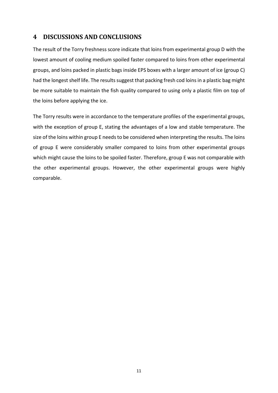### <span id="page-13-0"></span>**4 DISCUSSIONS AND CONCLUSIONS**

The result of the Torry freshness score indicate that loins from experimental group D with the lowest amount of cooling medium spoiled faster compared to loins from other experimental groups, and loins packed in plastic bags inside EPS boxes with a larger amount of ice (group C) had the longest shelf life. The results suggest that packing fresh cod loins in a plastic bag might be more suitable to maintain the fish quality compared to using only a plastic film on top of the loins before applying the ice.

The Torry results were in accordance to the temperature profiles of the experimental groups, with the exception of group E, stating the advantages of a low and stable temperature. The size of the loins within group E needs to be considered when interpreting the results. The loins of group E were considerably smaller compared to loins from other experimental groups which might cause the loins to be spoiled faster. Therefore, group E was not comparable with the other experimental groups. However, the other experimental groups were highly comparable.